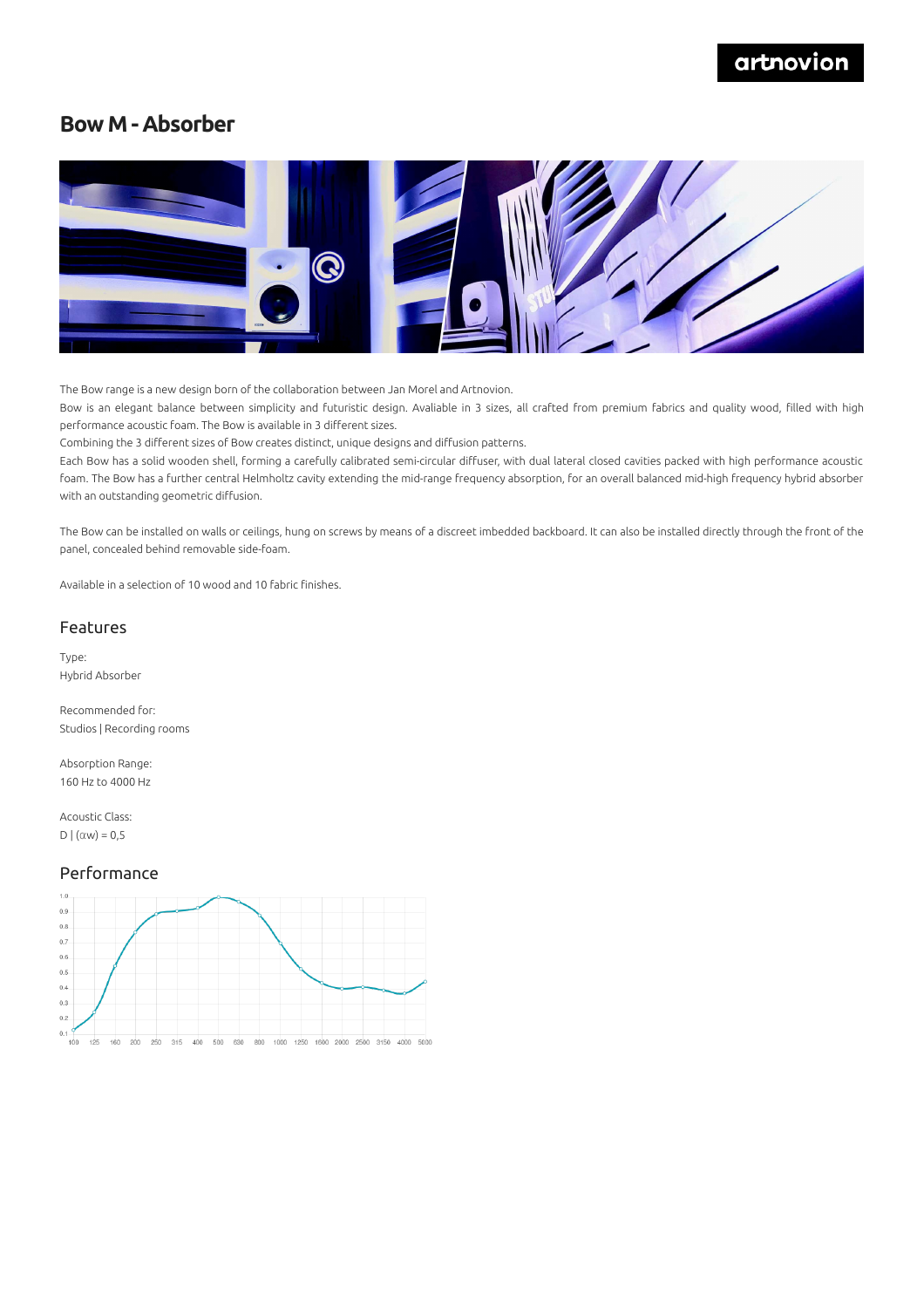## artnovion

### **Bow M - Absorber**



The Bow range is a new design born of the collaboration between Jan Morel and Artnovion.

Bow is an elegant balance between simplicity and futuristic design. Avaliable in 3 sizes, all crafted from premium fabrics and quality wood, filled with high performance acoustic foam. The Bow is available in 3 different sizes.

Combining the 3 different sizes of Bow creates distinct, unique designs and diffusion patterns.

Each Bow has a solid wooden shell, forming a carefully calibrated semi-circular diffuser, with dual lateral closed cavities packed with high performance acoustic foam. The Bow has a further central Helmholtz cavity extending the mid-range frequency absorption, for an overall balanced mid-high frequency hybrid absorber with an outstanding geometric diffusion.

The Bow can be installed on walls or ceilings, hung on screws by means of a discreet imbedded backboard. It can also be installed directly through the front of the panel, concealed behind removable side-foam.

Available in a selection of 10 wood and 10 fabric finishes.

### Features

Type: Hybrid Absorber

Recommended for: Studios | Recording rooms

Absorption Range: 160 Hz to 4000 Hz

Acoustic Class: D  $|(\alpha w) = 0,5$ 

#### Performance

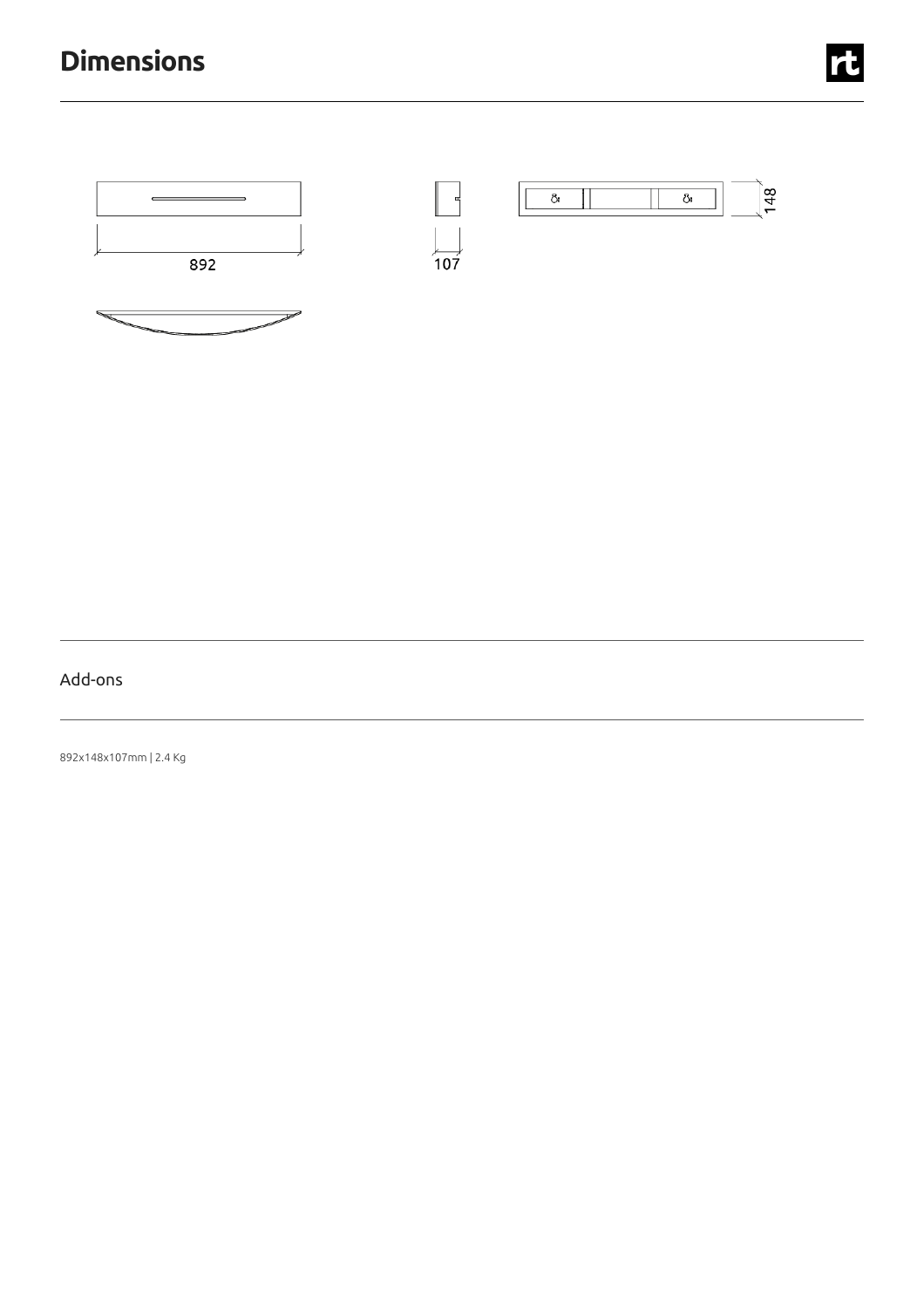# **Dimensions**



## Add-ons

892x148x107mm |2.4 Kg